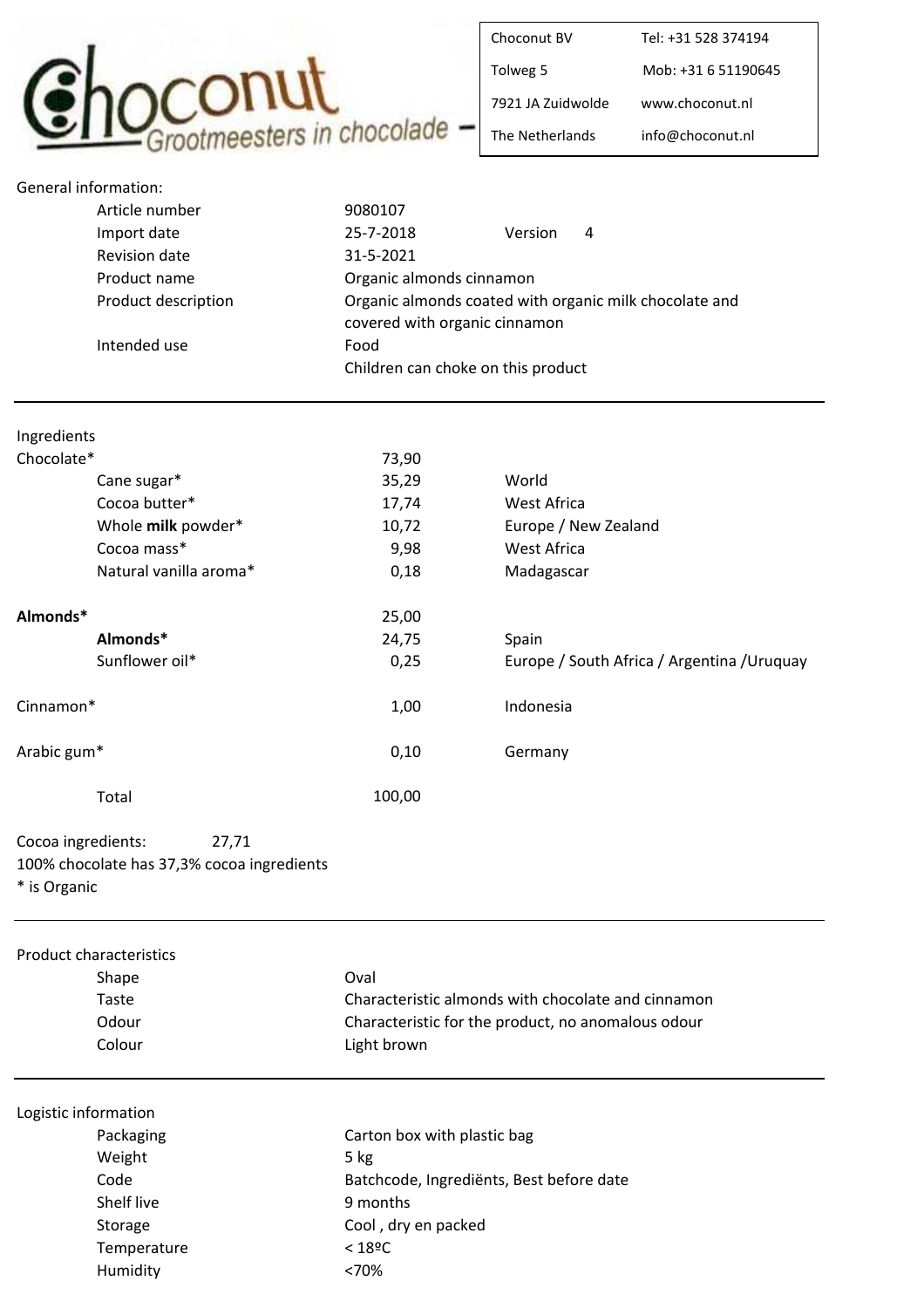

| Choconut BV       | Tel: +31 528 374194 |
|-------------------|---------------------|
| Tolweg 5          | Mob: +31 6 51190645 |
| 7921 JA Zuidwolde | www.choconut.nl     |
| The Netherlands   | info@choconut.nl    |

| General information: |                        |                                    |                                                        |
|----------------------|------------------------|------------------------------------|--------------------------------------------------------|
|                      | Article number         | 9080107                            |                                                        |
|                      | Import date            | 25-7-2018                          | Version<br>4                                           |
|                      | <b>Revision date</b>   | 31-5-2021                          |                                                        |
|                      | Product name           | Organic almonds cinnamon           |                                                        |
|                      | Product description    | covered with organic cinnamon      | Organic almonds coated with organic milk chocolate and |
|                      | Intended use           | Food                               |                                                        |
|                      |                        | Children can choke on this product |                                                        |
|                      |                        |                                    |                                                        |
| Ingredients          |                        |                                    |                                                        |
| Chocolate*           |                        | 73,90                              |                                                        |
|                      | Cane sugar*            | 35,29                              | World                                                  |
|                      | Cocoa butter*          | 17,74                              | West Africa                                            |
|                      | Whole milk powder*     | 10,72                              | Europe / New Zealand                                   |
|                      | Cocoa mass*            | 9,98                               | <b>West Africa</b>                                     |
|                      | Natural vanilla aroma* | 0,18                               | Madagascar                                             |
| Almonds*             |                        | 25,00                              |                                                        |
|                      | Almonds*               | 24,75                              | Spain                                                  |
|                      | Sunflower oil*         | 0,25                               | Europe / South Africa / Argentina / Uruquay            |
| Cinnamon*            |                        | 1,00                               | Indonesia                                              |
| Arabic gum*          |                        | 0,10                               | Germany                                                |
|                      | Total                  | 100,00                             |                                                        |

Cocoa ingredients: 27,71 100% chocolate has 37,3% cocoa ingredients \* is Organic

| <b>Product characteristics</b> |                                                    |
|--------------------------------|----------------------------------------------------|
| Shape                          | Oval                                               |
| Taste                          | Characteristic almonds with chocolate and cinnamon |
| Odour                          | Characteristic for the product, no anomalous odour |
| Colour                         | Light brown                                        |
|                                |                                                    |
| Logistic information           |                                                    |
| Packaging                      | Carton box with plastic bag                        |
| Weight                         | $5$ kg                                             |
| Code                           | Batchcode, Ingrediënts, Best before date           |
| Shelf live                     | 9 months                                           |
| Storage                        | Cool, dry en packed                                |
| Temperature                    | $< 18^{\circ}$ C                                   |
| Humidity                       | <70%                                               |
|                                |                                                    |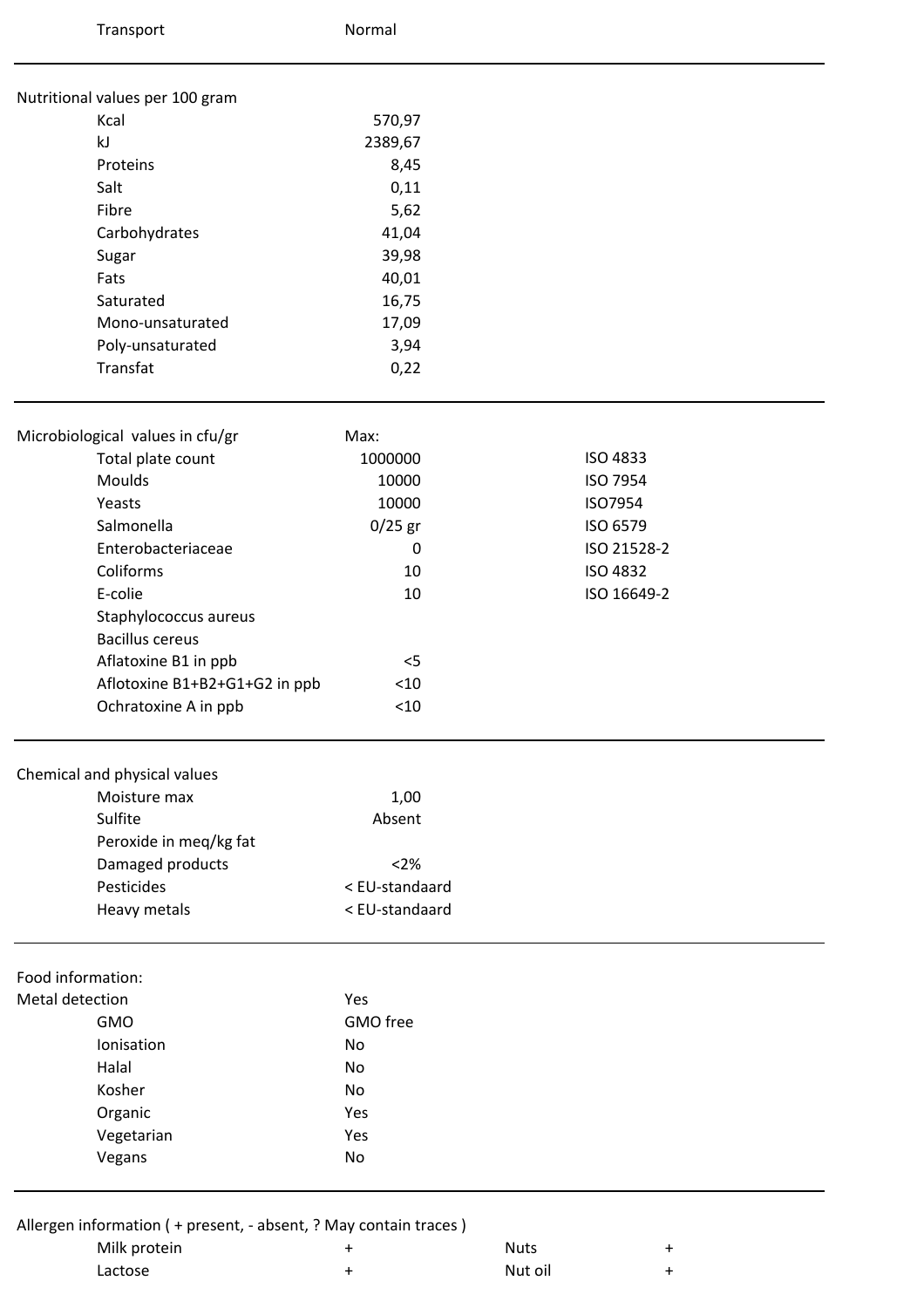| Transport                                                          | Normal         |                          |
|--------------------------------------------------------------------|----------------|--------------------------|
| Nutritional values per 100 gram                                    |                |                          |
| Kcal                                                               | 570,97         |                          |
| kJ                                                                 | 2389,67        |                          |
| Proteins                                                           | 8,45           |                          |
| Salt                                                               | 0,11           |                          |
| Fibre                                                              | 5,62           |                          |
| Carbohydrates                                                      | 41,04          |                          |
| Sugar                                                              | 39,98          |                          |
| Fats                                                               | 40,01          |                          |
| Saturated                                                          | 16,75          |                          |
| Mono-unsaturated                                                   | 17,09          |                          |
| Poly-unsaturated                                                   | 3,94           |                          |
| Transfat                                                           | 0,22           |                          |
| Microbiological values in cfu/gr                                   | Max:           |                          |
| Total plate count                                                  | 1000000        | <b>ISO 4833</b>          |
| Moulds                                                             | 10000          | ISO 7954                 |
| Yeasts                                                             | 10000          | ISO7954                  |
| Salmonella                                                         | $0/25$ gr      | ISO 6579                 |
| Enterobacteriaceae                                                 | 0              | ISO 21528-2              |
| Coliforms                                                          | 10             | <b>ISO 4832</b>          |
| E-colie                                                            | 10             | ISO 16649-2              |
| Staphylococcus aureus                                              |                |                          |
| <b>Bacillus cereus</b>                                             |                |                          |
| Aflatoxine B1 in ppb                                               | $<$ 5          |                          |
| Aflotoxine B1+B2+G1+G2 in ppb                                      | $<10$          |                          |
| Ochratoxine A in ppb                                               | $<$ 10         |                          |
| Chemical and physical values                                       |                |                          |
| Moisture max                                                       | 1,00           |                          |
| Sulfite                                                            | Absent         |                          |
| Peroxide in meq/kg fat                                             |                |                          |
| Damaged products                                                   | <2%            |                          |
| Pesticides                                                         | < EU-standaard |                          |
| Heavy metals                                                       | < EU-standaard |                          |
| Food information:                                                  |                |                          |
| Metal detection                                                    | Yes            |                          |
| <b>GMO</b>                                                         | GMO free       |                          |
| Ionisation                                                         | No             |                          |
| Halal                                                              | <b>No</b>      |                          |
| Kosher                                                             | No             |                          |
| Organic                                                            | Yes            |                          |
| Vegetarian                                                         | Yes            |                          |
| Vegans                                                             | No             |                          |
| Allergen information ( + present, - absent, ? May contain traces ) |                |                          |
| Milk protein                                                       | +              | <b>Nuts</b><br>$\ddot{}$ |

| ____    | .       |  |
|---------|---------|--|
| Lactose | Nut oil |  |